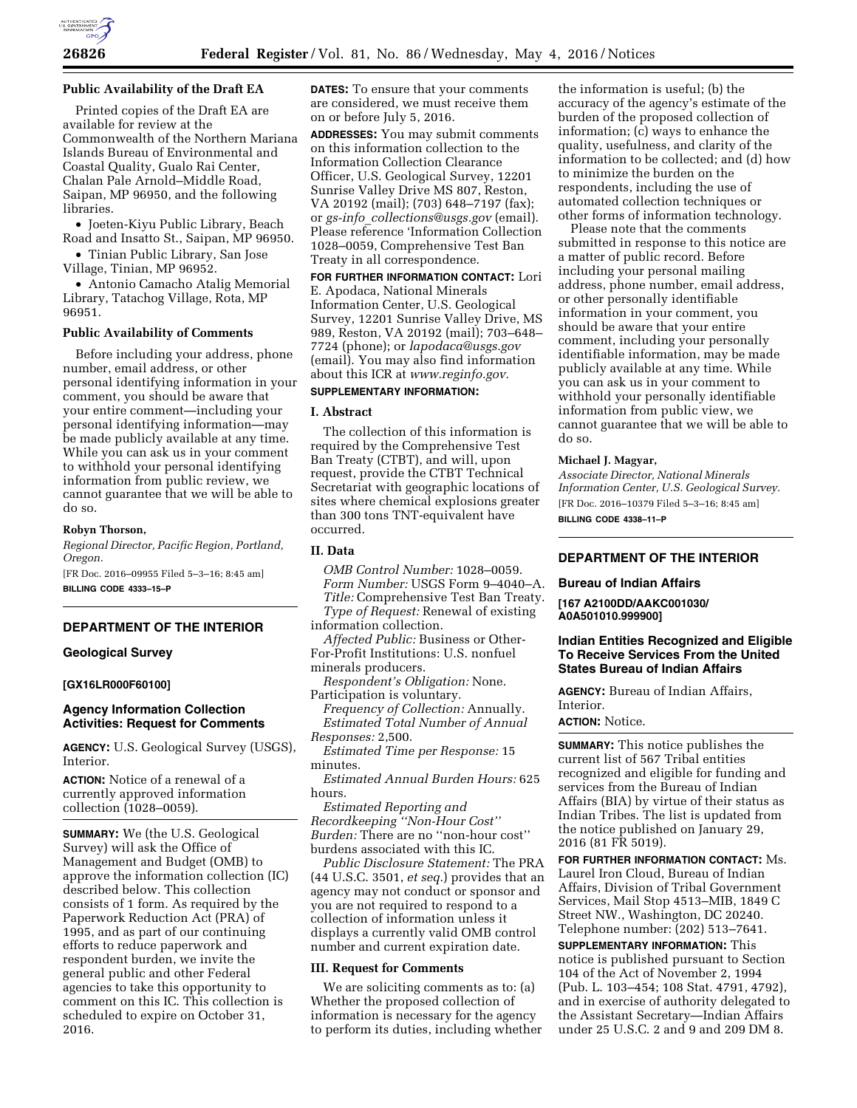

#### **Public Availability of the Draft EA**

Printed copies of the Draft EA are available for review at the Commonwealth of the Northern Mariana Islands Bureau of Environmental and Coastal Quality, Gualo Rai Center, Chalan Pale Arnold–Middle Road, Saipan, MP 96950, and the following libraries.

• Joeten-Kiyu Public Library, Beach Road and Insatto St., Saipan, MP 96950.

• Tinian Public Library, San Jose Village, Tinian, MP 96952.

• Antonio Camacho Atalig Memorial Library, Tatachog Village, Rota, MP 96951.

#### **Public Availability of Comments**

Before including your address, phone number, email address, or other personal identifying information in your comment, you should be aware that your entire comment—including your personal identifying information—may be made publicly available at any time. While you can ask us in your comment to withhold your personal identifying information from public review, we cannot guarantee that we will be able to do so.

#### **Robyn Thorson,**

*Regional Director, Pacific Region, Portland, Oregon.* 

[FR Doc. 2016–09955 Filed 5–3–16; 8:45 am] **BILLING CODE 4333–15–P** 

#### **DEPARTMENT OF THE INTERIOR**

# **Geological Survey**

## **[GX16LR000F60100]**

#### **Agency Information Collection Activities: Request for Comments**

**AGENCY:** U.S. Geological Survey (USGS), Interior.

**ACTION:** Notice of a renewal of a currently approved information collection (1028–0059).

**SUMMARY:** We (the U.S. Geological Survey) will ask the Office of Management and Budget (OMB) to approve the information collection (IC) described below. This collection consists of 1 form. As required by the Paperwork Reduction Act (PRA) of 1995, and as part of our continuing efforts to reduce paperwork and respondent burden, we invite the general public and other Federal agencies to take this opportunity to comment on this IC. This collection is scheduled to expire on October 31, 2016.

**DATES:** To ensure that your comments are considered, we must receive them on or before July 5, 2016.

**ADDRESSES:** You may submit comments on this information collection to the Information Collection Clearance Officer, U.S. Geological Survey, 12201 Sunrise Valley Drive MS 807, Reston, VA 20192 (mail); (703) 648–7197 (fax); or *gs-info*\_*[collections@usgs.gov](mailto:gs-info_collections@usgs.gov)* (email). Please reference 'Information Collection 1028–0059, Comprehensive Test Ban Treaty in all correspondence.

**FOR FURTHER INFORMATION CONTACT:** Lori E. Apodaca, National Minerals Information Center, U.S. Geological Survey, 12201 Sunrise Valley Drive, MS 989, Reston, VA 20192 (mail); 703–648– 7724 (phone); or *[lapodaca@usgs.gov](mailto:lapodaca@usgs.gov)*  (email). You may also find information about this ICR at *[www.reginfo.gov.](http://www.reginfo.gov)* 

# **SUPPLEMENTARY INFORMATION:**

# **I. Abstract**

The collection of this information is required by the Comprehensive Test Ban Treaty (CTBT), and will, upon request, provide the CTBT Technical Secretariat with geographic locations of sites where chemical explosions greater than 300 tons TNT-equivalent have occurred.

# **II. Data**

- *OMB Control Number:* 1028–0059. *Form Number:* USGS Form 9–4040–A. *Title:* Comprehensive Test Ban Treaty.
- *Type of Request:* Renewal of existing information collection.
- *Affected Public:* Business or Other-
- For-Profit Institutions: U.S. nonfuel minerals producers.

*Respondent's Obligation:* None. Participation is voluntary.

*Frequency of Collection:* Annually. *Estimated Total Number of Annual Responses:* 2,500.

*Estimated Time per Response:* 15 minutes.

*Estimated Annual Burden Hours:* 625 hours.

*Estimated Reporting and Recordkeeping ''Non-Hour Cost'' Burden:* There are no ''non-hour cost'' burdens associated with this IC.

*Public Disclosure Statement:* The PRA (44 U.S.C. 3501, *et seq.*) provides that an agency may not conduct or sponsor and you are not required to respond to a collection of information unless it displays a currently valid OMB control number and current expiration date.

#### **III. Request for Comments**

We are soliciting comments as to: (a) Whether the proposed collection of information is necessary for the agency to perform its duties, including whether

the information is useful; (b) the accuracy of the agency's estimate of the burden of the proposed collection of information; (c) ways to enhance the quality, usefulness, and clarity of the information to be collected; and (d) how to minimize the burden on the respondents, including the use of automated collection techniques or other forms of information technology.

Please note that the comments submitted in response to this notice are a matter of public record. Before including your personal mailing address, phone number, email address, or other personally identifiable information in your comment, you should be aware that your entire comment, including your personally identifiable information, may be made publicly available at any time. While you can ask us in your comment to withhold your personally identifiable information from public view, we cannot guarantee that we will be able to do so.

#### **Michael J. Magyar,**

*Associate Director, National Minerals Information Center, U.S. Geological Survey.*  [FR Doc. 2016–10379 Filed 5–3–16; 8:45 am] **BILLING CODE 4338–11–P** 

# **DEPARTMENT OF THE INTERIOR**

#### **Bureau of Indian Affairs**

**[167 A2100DD/AAKC001030/ A0A501010.999900]** 

# **Indian Entities Recognized and Eligible To Receive Services From the United States Bureau of Indian Affairs**

**AGENCY:** Bureau of Indian Affairs, Interior.

**ACTION:** Notice.

**SUMMARY:** This notice publishes the current list of 567 Tribal entities recognized and eligible for funding and services from the Bureau of Indian Affairs (BIA) by virtue of their status as Indian Tribes. The list is updated from the notice published on January 29, 2016 (81 FR 5019).

**FOR FURTHER INFORMATION CONTACT:** Ms. Laurel Iron Cloud, Bureau of Indian Affairs, Division of Tribal Government Services, Mail Stop 4513–MIB, 1849 C Street NW., Washington, DC 20240. Telephone number: (202) 513–7641.

**SUPPLEMENTARY INFORMATION:** This notice is published pursuant to Section 104 of the Act of November 2, 1994 (Pub. L. 103–454; 108 Stat. 4791, 4792), and in exercise of authority delegated to the Assistant Secretary—Indian Affairs under 25 U.S.C. 2 and 9 and 209 DM 8.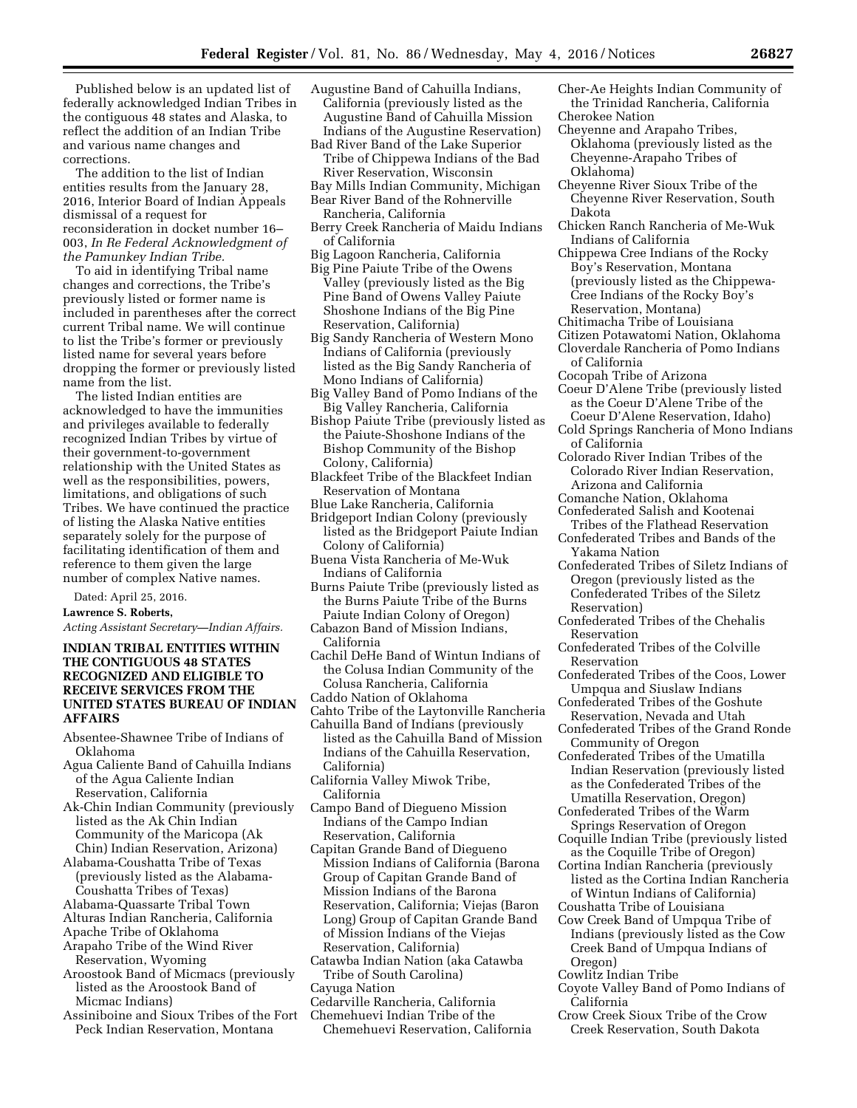Published below is an updated list of federally acknowledged Indian Tribes in the contiguous 48 states and Alaska, to reflect the addition of an Indian Tribe and various name changes and corrections.

The addition to the list of Indian entities results from the January 28, 2016, Interior Board of Indian Appeals dismissal of a request for reconsideration in docket number 16– 003, *In Re Federal Acknowledgment of the Pamunkey Indian Tribe.* 

To aid in identifying Tribal name changes and corrections, the Tribe's previously listed or former name is included in parentheses after the correct current Tribal name. We will continue to list the Tribe's former or previously listed name for several years before dropping the former or previously listed name from the list.

The listed Indian entities are acknowledged to have the immunities and privileges available to federally recognized Indian Tribes by virtue of their government-to-government relationship with the United States as well as the responsibilities, powers, limitations, and obligations of such Tribes. We have continued the practice of listing the Alaska Native entities separately solely for the purpose of facilitating identification of them and reference to them given the large number of complex Native names.

Dated: April 25, 2016.

**Lawrence S. Roberts,** 

*Acting Assistant Secretary—Indian Affairs.* 

# **INDIAN TRIBAL ENTITIES WITHIN THE CONTIGUOUS 48 STATES RECOGNIZED AND ELIGIBLE TO RECEIVE SERVICES FROM THE UNITED STATES BUREAU OF INDIAN AFFAIRS**

- Absentee-Shawnee Tribe of Indians of Oklahoma
- Agua Caliente Band of Cahuilla Indians of the Agua Caliente Indian Reservation, California
- Ak-Chin Indian Community (previously listed as the Ak Chin Indian Community of the Maricopa (Ak Chin) Indian Reservation, Arizona)
- Alabama-Coushatta Tribe of Texas (previously listed as the Alabama-Coushatta Tribes of Texas)
- Alabama-Quassarte Tribal Town
- Alturas Indian Rancheria, California
- Apache Tribe of Oklahoma
- Arapaho Tribe of the Wind River Reservation, Wyoming
- Aroostook Band of Micmacs (previously listed as the Aroostook Band of Micmac Indians)
- Assiniboine and Sioux Tribes of the Fort Peck Indian Reservation, Montana

Augustine Band of Cahuilla Indians, California (previously listed as the Augustine Band of Cahuilla Mission Indians of the Augustine Reservation) Bad River Band of the Lake Superior

Tribe of Chippewa Indians of the Bad River Reservation, Wisconsin

- Bay Mills Indian Community, Michigan
- Bear River Band of the Rohnerville Rancheria, California
- Berry Creek Rancheria of Maidu Indians of California
- Big Lagoon Rancheria, California
- Big Pine Paiute Tribe of the Owens Valley (previously listed as the Big Pine Band of Owens Valley Paiute Shoshone Indians of the Big Pine Reservation, California)
- Big Sandy Rancheria of Western Mono Indians of California (previously listed as the Big Sandy Rancheria of Mono Indians of California)
- Big Valley Band of Pomo Indians of the Big Valley Rancheria, California
- Bishop Paiute Tribe (previously listed as the Paiute-Shoshone Indians of the Bishop Community of the Bishop Colony, California)
- Blackfeet Tribe of the Blackfeet Indian Reservation of Montana
- Blue Lake Rancheria, California
- Bridgeport Indian Colony (previously listed as the Bridgeport Paiute Indian Colony of California)
- Buena Vista Rancheria of Me-Wuk Indians of California
- Burns Paiute Tribe (previously listed as the Burns Paiute Tribe of the Burns Paiute Indian Colony of Oregon)
- Cabazon Band of Mission Indians, California
- Cachil DeHe Band of Wintun Indians of the Colusa Indian Community of the Colusa Rancheria, California Caddo Nation of Oklahoma
- 
- Cahto Tribe of the Laytonville Rancheria Cahuilla Band of Indians (previously
- listed as the Cahuilla Band of Mission Indians of the Cahuilla Reservation, California)
- California Valley Miwok Tribe, California
- Campo Band of Diegueno Mission Indians of the Campo Indian Reservation, California
- Capitan Grande Band of Diegueno Mission Indians of California (Barona Group of Capitan Grande Band of Mission Indians of the Barona Reservation, California; Viejas (Baron Long) Group of Capitan Grande Band of Mission Indians of the Viejas Reservation, California)
- Catawba Indian Nation (aka Catawba Tribe of South Carolina)
- Cayuga Nation
- Cedarville Rancheria, California
- Chemehuevi Indian Tribe of the Chemehuevi Reservation, California
- Cher-Ae Heights Indian Community of the Trinidad Rancheria, California Cherokee Nation
- Cheyenne and Arapaho Tribes, Oklahoma (previously listed as the Cheyenne-Arapaho Tribes of Oklahoma)
- Cheyenne River Sioux Tribe of the Cheyenne River Reservation, South Dakota
- Chicken Ranch Rancheria of Me-Wuk Indians of California
- Chippewa Cree Indians of the Rocky Boy's Reservation, Montana (previously listed as the Chippewa-Cree Indians of the Rocky Boy's Reservation, Montana)
- Chitimacha Tribe of Louisiana
- Citizen Potawatomi Nation, Oklahoma Cloverdale Rancheria of Pomo Indians of California
- Cocopah Tribe of Arizona
- Coeur D'Alene Tribe (previously listed as the Coeur D'Alene Tribe of the Coeur D'Alene Reservation, Idaho)
- Cold Springs Rancheria of Mono Indians of California
- Colorado River Indian Tribes of the Colorado River Indian Reservation, Arizona and California
- Comanche Nation, Oklahoma
- Confederated Salish and Kootenai Tribes of the Flathead Reservation
- Confederated Tribes and Bands of the Yakama Nation
- Confederated Tribes of Siletz Indians of Oregon (previously listed as the Confederated Tribes of the Siletz Reservation)
- Confederated Tribes of the Chehalis Reservation
- Confederated Tribes of the Colville Reservation
- Confederated Tribes of the Coos, Lower Umpqua and Siuslaw Indians
- Confederated Tribes of the Goshute Reservation, Nevada and Utah
- Confederated Tribes of the Grand Ronde Community of Oregon
- Confederated Tribes of the Umatilla Indian Reservation (previously listed as the Confederated Tribes of the Umatilla Reservation, Oregon)
- Confederated Tribes of the Warm Springs Reservation of Oregon
- Coquille Indian Tribe (previously listed as the Coquille Tribe of Oregon)
- Cortina Indian Rancheria (previously listed as the Cortina Indian Rancheria of Wintun Indians of California)
- Coushatta Tribe of Louisiana
- Cow Creek Band of Umpqua Tribe of Indians (previously listed as the Cow Creek Band of Umpqua Indians of Oregon)
- Cowlitz Indian Tribe
- Coyote Valley Band of Pomo Indians of California
- Crow Creek Sioux Tribe of the Crow Creek Reservation, South Dakota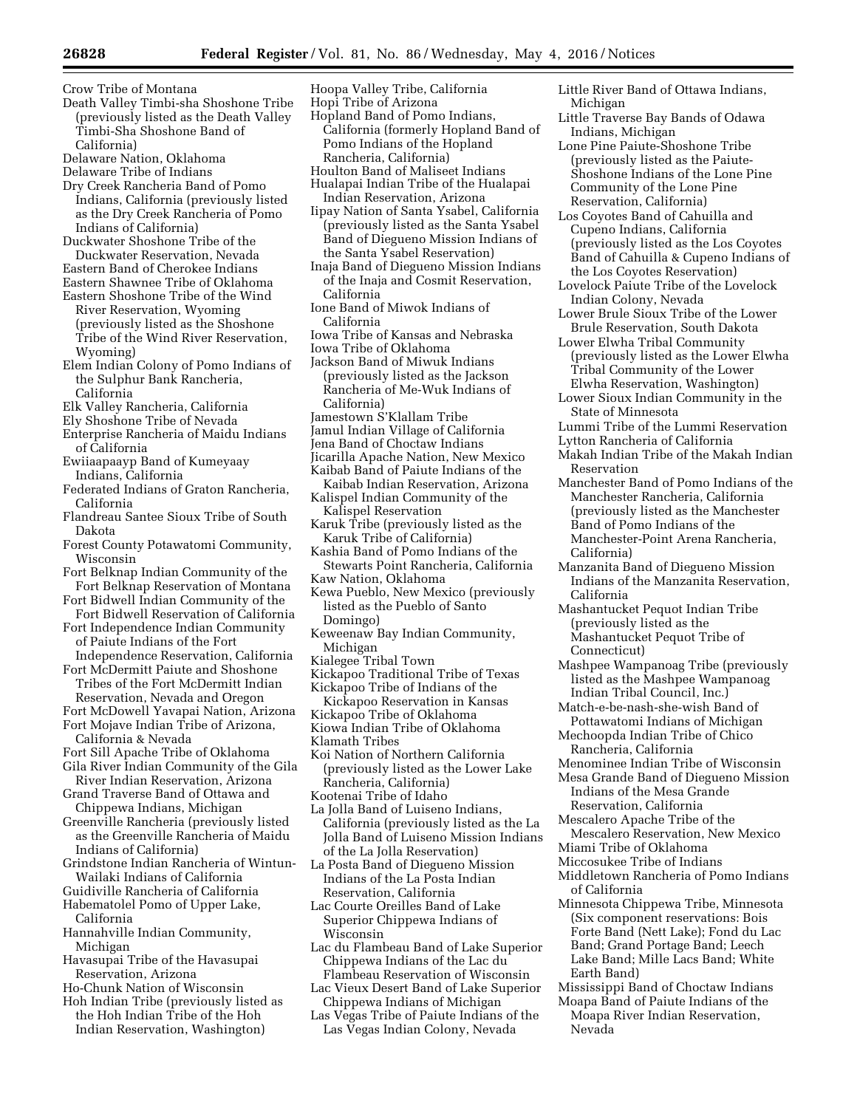Crow Tribe of Montana

- Death Valley Timbi-sha Shoshone Tribe (previously listed as the Death Valley Timbi-Sha Shoshone Band of California)
- Delaware Nation, Oklahoma
- Delaware Tribe of Indians
- Dry Creek Rancheria Band of Pomo Indians, California (previously listed as the Dry Creek Rancheria of Pomo Indians of California)
- Duckwater Shoshone Tribe of the Duckwater Reservation, Nevada
- Eastern Band of Cherokee Indians
- Eastern Shawnee Tribe of Oklahoma
- Eastern Shoshone Tribe of the Wind River Reservation, Wyoming (previously listed as the Shoshone Tribe of the Wind River Reservation, Wyoming)
- Elem Indian Colony of Pomo Indians of the Sulphur Bank Rancheria, California
- Elk Valley Rancheria, California
- Ely Shoshone Tribe of Nevada
- Enterprise Rancheria of Maidu Indians of California
- Ewiiaapaayp Band of Kumeyaay Indians, California
- Federated Indians of Graton Rancheria, California
- Flandreau Santee Sioux Tribe of South Dakota
- Forest County Potawatomi Community, Wisconsin
- Fort Belknap Indian Community of the Fort Belknap Reservation of Montana
- Fort Bidwell Indian Community of the Fort Bidwell Reservation of California
- Fort Independence Indian Community of Paiute Indians of the Fort
- Independence Reservation, California Fort McDermitt Paiute and Shoshone Tribes of the Fort McDermitt Indian
- Reservation, Nevada and Oregon
- Fort McDowell Yavapai Nation, Arizona Fort Mojave Indian Tribe of Arizona,
- California & Nevada
- Fort Sill Apache Tribe of Oklahoma Gila River Indian Community of the Gila
- River Indian Reservation, Arizona Grand Traverse Band of Ottawa and Chippewa Indians, Michigan
- Greenville Rancheria (previously listed as the Greenville Rancheria of Maidu Indians of California)
- Grindstone Indian Rancheria of Wintun-Wailaki Indians of California
- Guidiville Rancheria of California
- Habematolel Pomo of Upper Lake, California
- Hannahville Indian Community, Michigan
- Havasupai Tribe of the Havasupai Reservation, Arizona
- Ho-Chunk Nation of Wisconsin
- Hoh Indian Tribe (previously listed as the Hoh Indian Tribe of the Hoh Indian Reservation, Washington)
- Hoopa Valley Tribe, California
- Hopi Tribe of Arizona
- Hopland Band of Pomo Indians, California (formerly Hopland Band of Pomo Indians of the Hopland Rancheria, California)
- Houlton Band of Maliseet Indians Hualapai Indian Tribe of the Hualapai
- Indian Reservation, Arizona Iipay Nation of Santa Ysabel, California (previously listed as the Santa Ysabel Band of Diegueno Mission Indians of the Santa Ysabel Reservation)
- Inaja Band of Diegueno Mission Indians of the Inaja and Cosmit Reservation, California
- Ione Band of Miwok Indians of California
- Iowa Tribe of Kansas and Nebraska
- Iowa Tribe of Oklahoma
- Jackson Band of Miwuk Indians (previously listed as the Jackson Rancheria of Me-Wuk Indians of California)
- Jamestown S'Klallam Tribe
- Jamul Indian Village of California
- Jena Band of Choctaw Indians
- Jicarilla Apache Nation, New Mexico Kaibab Band of Paiute Indians of the
- Kaibab Indian Reservation, Arizona
- Kalispel Indian Community of the Kalispel Reservation
- Karuk Tribe (previously listed as the Karuk Tribe of California)
- Kashia Band of Pomo Indians of the Stewarts Point Rancheria, California
- Kaw Nation, Oklahoma
- Kewa Pueblo, New Mexico (previously listed as the Pueblo of Santo Domingo)
- Keweenaw Bay Indian Community, Michigan
- Kialegee Tribal Town
- Kickapoo Traditional Tribe of Texas
- Kickapoo Tribe of Indians of the
- Kickapoo Reservation in Kansas
- Kickapoo Tribe of Oklahoma
- Kiowa Indian Tribe of Oklahoma
- Klamath Tribes
- Koi Nation of Northern California (previously listed as the Lower Lake Rancheria, California)
- Kootenai Tribe of Idaho
- La Jolla Band of Luiseno Indians, California (previously listed as the La Jolla Band of Luiseno Mission Indians of the La Jolla Reservation)
- La Posta Band of Diegueno Mission Indians of the La Posta Indian Reservation, California
- Lac Courte Oreilles Band of Lake Superior Chippewa Indians of Wisconsin
- Lac du Flambeau Band of Lake Superior Chippewa Indians of the Lac du Flambeau Reservation of Wisconsin
- Lac Vieux Desert Band of Lake Superior Chippewa Indians of Michigan
- Las Vegas Tribe of Paiute Indians of the Las Vegas Indian Colony, Nevada
- Little River Band of Ottawa Indians, Michigan
- Little Traverse Bay Bands of Odawa Indians, Michigan
- Lone Pine Paiute-Shoshone Tribe (previously listed as the Paiute-Shoshone Indians of the Lone Pine Community of the Lone Pine Reservation, California)
- Los Coyotes Band of Cahuilla and Cupeno Indians, California (previously listed as the Los Coyotes Band of Cahuilla & Cupeno Indians of the Los Coyotes Reservation)
- Lovelock Paiute Tribe of the Lovelock Indian Colony, Nevada
- Lower Brule Sioux Tribe of the Lower Brule Reservation, South Dakota
- Lower Elwha Tribal Community (previously listed as the Lower Elwha Tribal Community of the Lower Elwha Reservation, Washington)
- Lower Sioux Indian Community in the State of Minnesota
- Lummi Tribe of the Lummi Reservation
- Lytton Rancheria of California
- Makah Indian Tribe of the Makah Indian Reservation
- Manchester Band of Pomo Indians of the Manchester Rancheria, California (previously listed as the Manchester Band of Pomo Indians of the Manchester-Point Arena Rancheria, California)
- Manzanita Band of Diegueno Mission Indians of the Manzanita Reservation, California
- Mashantucket Pequot Indian Tribe (previously listed as the Mashantucket Pequot Tribe of Connecticut)
- Mashpee Wampanoag Tribe (previously listed as the Mashpee Wampanoag Indian Tribal Council, Inc.)
- Match-e-be-nash-she-wish Band of Pottawatomi Indians of Michigan
- Mechoopda Indian Tribe of Chico Rancheria, California
- Menominee Indian Tribe of Wisconsin
- Mesa Grande Band of Diegueno Mission Indians of the Mesa Grande Reservation, California
- Mescalero Apache Tribe of the Mescalero Reservation, New Mexico
- Miami Tribe of Oklahoma
- Miccosukee Tribe of Indians
- Middletown Rancheria of Pomo Indians of California
- Minnesota Chippewa Tribe, Minnesota (Six component reservations: Bois Forte Band (Nett Lake); Fond du Lac Band; Grand Portage Band; Leech Lake Band; Mille Lacs Band; White Earth Band)
- Mississippi Band of Choctaw Indians
- Moapa Band of Paiute Indians of the Moapa River Indian Reservation, Nevada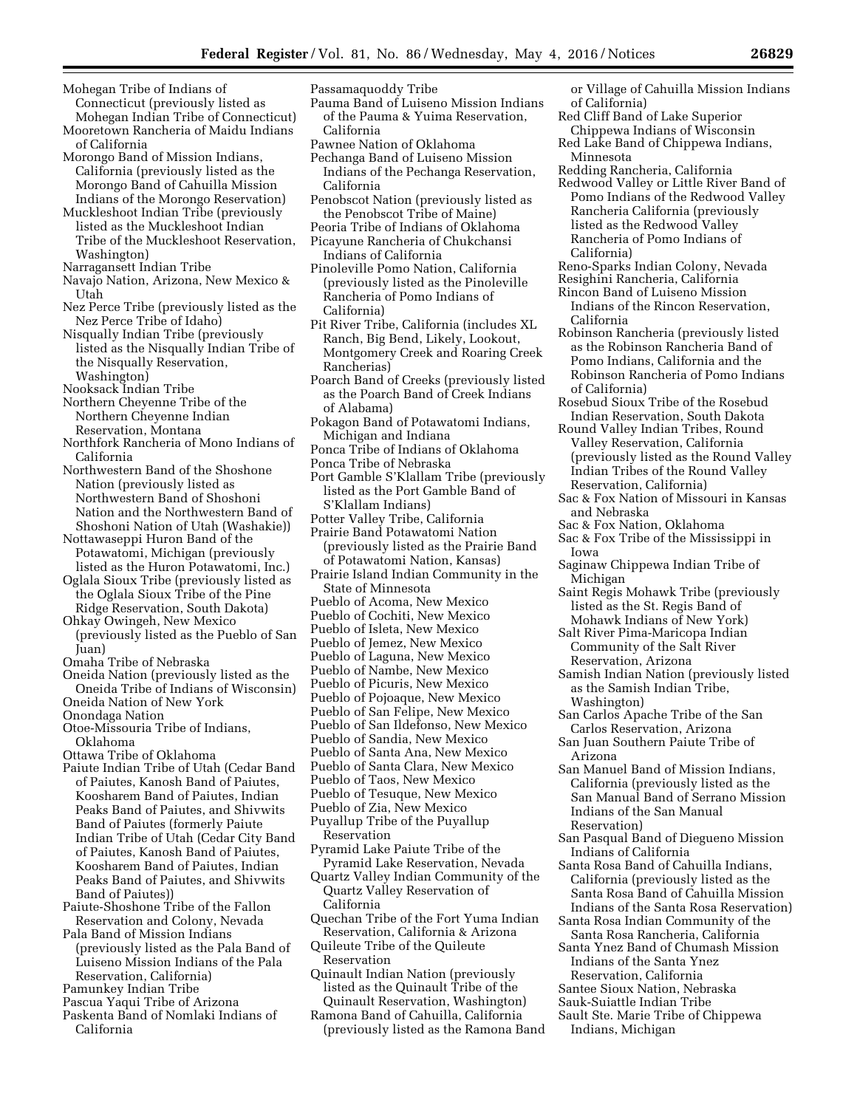- Mohegan Tribe of Indians of Connecticut (previously listed as Mohegan Indian Tribe of Connecticut)
- Mooretown Rancheria of Maidu Indians of California
- Morongo Band of Mission Indians, California (previously listed as the Morongo Band of Cahuilla Mission Indians of the Morongo Reservation)
- Muckleshoot Indian Tribe (previously listed as the Muckleshoot Indian Tribe of the Muckleshoot Reservation, Washington)
- Narragansett Indian Tribe
- Navajo Nation, Arizona, New Mexico & Utah
- Nez Perce Tribe (previously listed as the Nez Perce Tribe of Idaho)
- Nisqually Indian Tribe (previously listed as the Nisqually Indian Tribe of the Nisqually Reservation, Washington)
- Nooksack Indian Tribe
- Northern Cheyenne Tribe of the Northern Cheyenne Indian Reservation, Montana
- Northfork Rancheria of Mono Indians of California
- Northwestern Band of the Shoshone Nation (previously listed as Northwestern Band of Shoshoni Nation and the Northwestern Band of Shoshoni Nation of Utah (Washakie))

Nottawaseppi Huron Band of the Potawatomi, Michigan (previously listed as the Huron Potawatomi, Inc.)

- Oglala Sioux Tribe (previously listed as the Oglala Sioux Tribe of the Pine
- Ridge Reservation, South Dakota) Ohkay Owingeh, New Mexico
- (previously listed as the Pueblo of San Juan) Omaha Tribe of Nebraska
- Oneida Nation (previously listed as the
- Oneida Tribe of Indians of Wisconsin) Oneida Nation of New York Onondaga Nation
- Otoe-Missouria Tribe of Indians, Oklahoma
- Ottawa Tribe of Oklahoma
- Paiute Indian Tribe of Utah (Cedar Band of Paiutes, Kanosh Band of Paiutes, Koosharem Band of Paiutes, Indian Peaks Band of Paiutes, and Shivwits Band of Paiutes (formerly Paiute Indian Tribe of Utah (Cedar City Band of Paiutes, Kanosh Band of Paiutes, Koosharem Band of Paiutes, Indian Peaks Band of Paiutes, and Shivwits Band of Paiutes))
- Paiute-Shoshone Tribe of the Fallon Reservation and Colony, Nevada
- Pala Band of Mission Indians (previously listed as the Pala Band of Luiseno Mission Indians of the Pala Reservation, California)
- Pamunkey Indian Tribe
- Pascua Yaqui Tribe of Arizona
- Paskenta Band of Nomlaki Indians of California
- Passamaquoddy Tribe
- Pauma Band of Luiseno Mission Indians of the Pauma & Yuima Reservation, California
- Pawnee Nation of Oklahoma
- Pechanga Band of Luiseno Mission Indians of the Pechanga Reservation, California
- Penobscot Nation (previously listed as the Penobscot Tribe of Maine)
- Peoria Tribe of Indians of Oklahoma
- Picayune Rancheria of Chukchansi Indians of California
- Pinoleville Pomo Nation, California (previously listed as the Pinoleville Rancheria of Pomo Indians of California)
- Pit River Tribe, California (includes XL Ranch, Big Bend, Likely, Lookout, Montgomery Creek and Roaring Creek Rancherias)
- Poarch Band of Creeks (previously listed as the Poarch Band of Creek Indians of Alabama)
- Pokagon Band of Potawatomi Indians, Michigan and Indiana
- Ponca Tribe of Indians of Oklahoma
- Ponca Tribe of Nebraska
- Port Gamble S'Klallam Tribe (previously listed as the Port Gamble Band of S'Klallam Indians)
- Potter Valley Tribe, California
- Prairie Band Potawatomi Nation (previously listed as the Prairie Band of Potawatomi Nation, Kansas)
- Prairie Island Indian Community in the State of Minnesota
- Pueblo of Acoma, New Mexico
- Pueblo of Cochiti, New Mexico
- Pueblo of Isleta, New Mexico
- Pueblo of Jemez, New Mexico
- Pueblo of Laguna, New Mexico
- Pueblo of Nambe, New Mexico
- Pueblo of Picuris, New Mexico
- Pueblo of Pojoaque, New Mexico
- Pueblo of San Felipe, New Mexico
- Pueblo of San Ildefonso, New Mexico
- Pueblo of Sandia, New Mexico
- Pueblo of Santa Ana, New Mexico
- Pueblo of Santa Clara, New Mexico
- Pueblo of Taos, New Mexico
- Pueblo of Tesuque, New Mexico
- Pueblo of Zia, New Mexico
- Puyallup Tribe of the Puyallup Reservation
- Pyramid Lake Paiute Tribe of the Pyramid Lake Reservation, Nevada
- Quartz Valley Indian Community of the Quartz Valley Reservation of California
- Quechan Tribe of the Fort Yuma Indian Reservation, California & Arizona
- Quileute Tribe of the Quileute Reservation
- Quinault Indian Nation (previously listed as the Quinault Tribe of the Quinault Reservation, Washington)
- Ramona Band of Cahuilla, California (previously listed as the Ramona Band
- or Village of Cahuilla Mission Indians of California)
- Red Cliff Band of Lake Superior Chippewa Indians of Wisconsin
- Red Lake Band of Chippewa Indians, Minnesota
- Redding Rancheria, California
- Redwood Valley or Little River Band of Pomo Indians of the Redwood Valley Rancheria California (previously listed as the Redwood Valley Rancheria of Pomo Indians of California)
- Reno-Sparks Indian Colony, Nevada
- Resighini Rancheria, California Rincon Band of Luiseno Mission
- Indians of the Rincon Reservation, California
- Robinson Rancheria (previously listed as the Robinson Rancheria Band of Pomo Indians, California and the Robinson Rancheria of Pomo Indians of California)
- Rosebud Sioux Tribe of the Rosebud Indian Reservation, South Dakota
- Round Valley Indian Tribes, Round Valley Reservation, California (previously listed as the Round Valley Indian Tribes of the Round Valley Reservation, California)
- Sac & Fox Nation of Missouri in Kansas and Nebraska
- Sac & Fox Nation, Oklahoma
- Sac & Fox Tribe of the Mississippi in Iowa
- Saginaw Chippewa Indian Tribe of Michigan
- Saint Regis Mohawk Tribe (previously listed as the St. Regis Band of Mohawk Indians of New York)
- Salt River Pima-Maricopa Indian Community of the Salt River Reservation, Arizona
- Samish Indian Nation (previously listed as the Samish Indian Tribe, Washington)
- San Carlos Apache Tribe of the San Carlos Reservation, Arizona
- San Juan Southern Paiute Tribe of Arizona
- San Manuel Band of Mission Indians, California (previously listed as the San Manual Band of Serrano Mission Indians of the San Manual Reservation)
- San Pasqual Band of Diegueno Mission Indians of California
- Santa Rosa Band of Cahuilla Indians, California (previously listed as the Santa Rosa Band of Cahuilla Mission Indians of the Santa Rosa Reservation)
- Santa Rosa Indian Community of the Santa Rosa Rancheria, California
- Santa Ynez Band of Chumash Mission Indians of the Santa Ynez Reservation, California
- Santee Sioux Nation, Nebraska
- Sauk-Suiattle Indian Tribe
- Sault Ste. Marie Tribe of Chippewa Indians, Michigan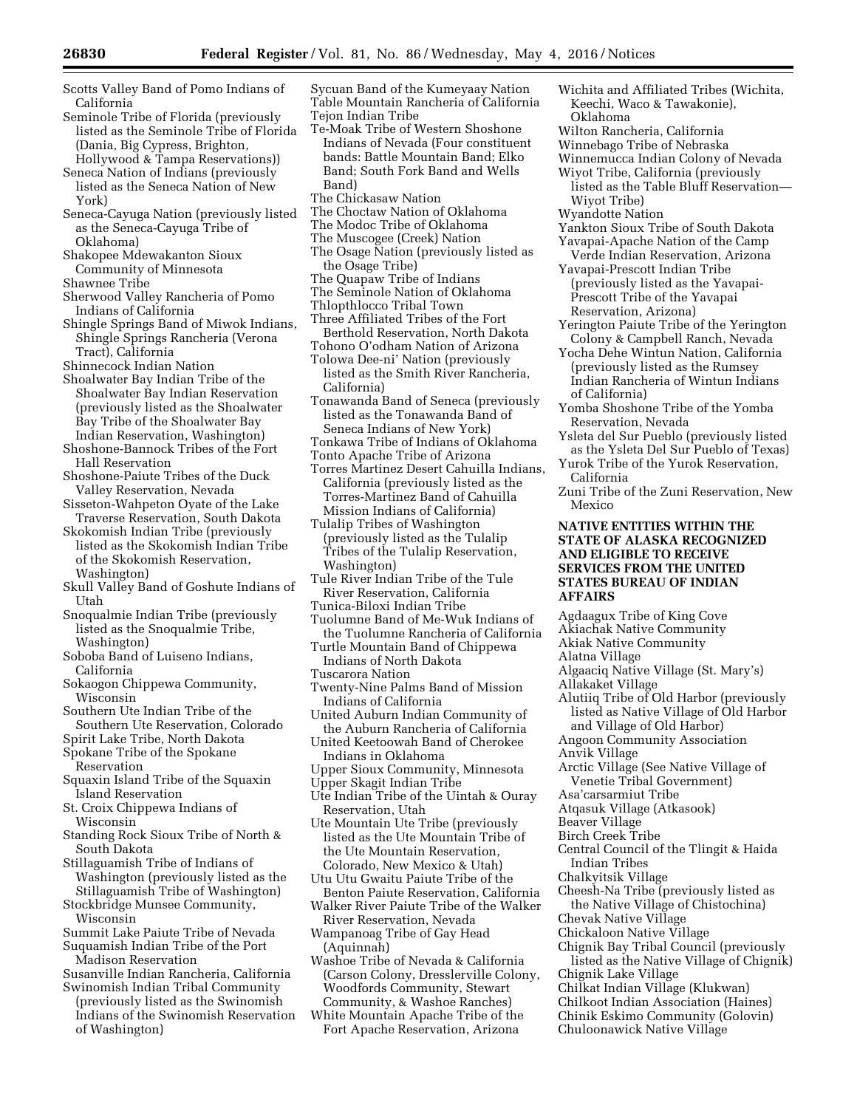- Scotts Valley Band of Pomo Indians of California
- Seminole Tribe of Florida (previously listed as the Seminole Tribe of Florida (Dania, Big Cypress, Brighton, Hollywood & Tampa Reservations))
- Seneca Nation of Indians (previously listed as the Seneca Nation of New York)
- Seneca-Cayuga Nation (previously listed as the Seneca-Cayuga Tribe of Oklahoma)
- Shakopee Mdewakanton Sioux Community of Minnesota
- Shawnee Tribe
- Sherwood Valley Rancheria of Pomo Indians of California
- Shingle Springs Band of Miwok Indians, Shingle Springs Rancheria (Verona Tract), California
- Shinnecock Indian Nation
- Shoalwater Bay Indian Tribe of the Shoalwater Bay Indian Reservation (previously listed as the Shoalwater Bay Tribe of the Shoalwater Bay Indian Reservation, Washington)
- Shoshone-Bannock Tribes of the Fort Hall Reservation
- Shoshone-Paiute Tribes of the Duck Valley Reservation, Nevada
- Sisseton-Wahpeton Oyate of the Lake Traverse Reservation, South Dakota
- Skokomish Indian Tribe (previously listed as the Skokomish Indian Tribe of the Skokomish Reservation, Washington)
- Skull Valley Band of Goshute Indians of Utah
- Snoqualmie Indian Tribe (previously listed as the Snoqualmie Tribe, Washington)
- Soboba Band of Luiseno Indians, California
- Sokaogon Chippewa Community, Wisconsin
- Southern Ute Indian Tribe of the Southern Ute Reservation, Colorado
- Spirit Lake Tribe, North Dakota
- Spokane Tribe of the Spokane
- Reservation Squaxin Island Tribe of the Squaxin Island Reservation
- St. Croix Chippewa Indians of Wisconsin
- Standing Rock Sioux Tribe of North & South Dakota
- Stillaguamish Tribe of Indians of Washington (previously listed as the Stillaguamish Tribe of Washington)
- Stockbridge Munsee Community, Wisconsin
- Summit Lake Paiute Tribe of Nevada Suquamish Indian Tribe of the Port
- Madison Reservation Susanville Indian Rancheria, California
- Swinomish Indian Tribal Community (previously listed as the Swinomish
- Indians of the Swinomish Reservation of Washington)
- Sycuan Band of the Kumeyaay Nation Table Mountain Rancheria of California Tejon Indian Tribe
- Te-Moak Tribe of Western Shoshone Indians of Nevada (Four constituent bands: Battle Mountain Band; Elko Band; South Fork Band and Wells Band)
- The Chickasaw Nation
- The Choctaw Nation of Oklahoma
- The Modoc Tribe of Oklahoma
- The Muscogee (Creek) Nation
- The Osage Nation (previously listed as the Osage Tribe)
- The Quapaw Tribe of Indians
- The Seminole Nation of Oklahoma
- Thlopthlocco Tribal Town
- Three Affiliated Tribes of the Fort
- Berthold Reservation, North Dakota
- Tohono O'odham Nation of Arizona
- Tolowa Dee-ni' Nation (previously listed as the Smith River Rancheria, California)
- Tonawanda Band of Seneca (previously listed as the Tonawanda Band of Seneca Indians of New York)
- Tonkawa Tribe of Indians of Oklahoma
- Tonto Apache Tribe of Arizona
- Torres Martinez Desert Cahuilla Indians, California (previously listed as the Torres-Martinez Band of Cahuilla Mission Indians of California)
- Tulalip Tribes of Washington (previously listed as the Tulalip Tribes of the Tulalip Reservation, Washington)
- Tule River Indian Tribe of the Tule River Reservation, California
- Tunica-Biloxi Indian Tribe
- Tuolumne Band of Me-Wuk Indians of the Tuolumne Rancheria of California
- Turtle Mountain Band of Chippewa Indians of North Dakota Tuscarora Nation
- Twenty-Nine Palms Band of Mission
- Indians of California
- United Auburn Indian Community of the Auburn Rancheria of California
- United Keetoowah Band of Cherokee Indians in Oklahoma
- Upper Sioux Community, Minnesota
- Upper Skagit Indian Tribe
- Ute Indian Tribe of the Uintah & Ouray Reservation, Utah
- Ute Mountain Ute Tribe (previously listed as the Ute Mountain Tribe of the Ute Mountain Reservation, Colorado, New Mexico & Utah)
- Utu Utu Gwaitu Paiute Tribe of the Benton Paiute Reservation, California
- Walker River Paiute Tribe of the Walker River Reservation, Nevada

Wampanoag Tribe of Gay Head (Aquinnah)

- Washoe Tribe of Nevada & California (Carson Colony, Dresslerville Colony, Woodfords Community, Stewart Community, & Washoe Ranches)
- White Mountain Apache Tribe of the Fort Apache Reservation, Arizona
- Wichita and Affiliated Tribes (Wichita, Keechi, Waco & Tawakonie), Oklahoma
- Wilton Rancheria, California
- Winnebago Tribe of Nebraska

Winnemucca Indian Colony of Nevada

- Wiyot Tribe, California (previously
- listed as the Table Bluff Reservation— Wiyot Tribe)
- Wyandotte Nation
- Yankton Sioux Tribe of South Dakota Yavapai-Apache Nation of the Camp
- Verde Indian Reservation, Arizona Yavapai-Prescott Indian Tribe
- (previously listed as the Yavapai-Prescott Tribe of the Yavapai Reservation, Arizona)
- Yerington Paiute Tribe of the Yerington Colony & Campbell Ranch, Nevada
- Yocha Dehe Wintun Nation, California (previously listed as the Rumsey Indian Rancheria of Wintun Indians of California)
- Yomba Shoshone Tribe of the Yomba Reservation, Nevada
- Ysleta del Sur Pueblo (previously listed as the Ysleta Del Sur Pueblo of Texas)
- Yurok Tribe of the Yurok Reservation, California
- Zuni Tribe of the Zuni Reservation, New Mexico

# **NATIVE ENTITIES WITHIN THE STATE OF ALASKA RECOGNIZED AND ELIGIBLE TO RECEIVE SERVICES FROM THE UNITED STATES BUREAU OF INDIAN AFFAIRS**

- Agdaagux Tribe of King Cove
- Akiachak Native Community
- Akiak Native Community
- Alatna Village
- Algaaciq Native Village (St. Mary's)
- Allakaket Village
- Alutiiq Tribe of Old Harbor (previously listed as Native Village of Old Harbor and Village of Old Harbor)
- Angoon Community Association
- Anvik Village
	- Arctic Village (See Native Village of Venetie Tribal Government)
- Asa'carsarmiut Tribe
- Atqasuk Village (Atkasook)
- Beaver Village
- Birch Creek Tribe
- Central Council of the Tlingit & Haida Indian Tribes

the Native Village of Chistochina)

Chignik Bay Tribal Council (previously listed as the Native Village of Chignik)

Chilkat Indian Village (Klukwan) Chilkoot Indian Association (Haines) Chinik Eskimo Community (Golovin) Chuloonawick Native Village

Chalkyitsik Village Cheesh-Na Tribe (previously listed as

Chevak Native Village Chickaloon Native Village

Chignik Lake Village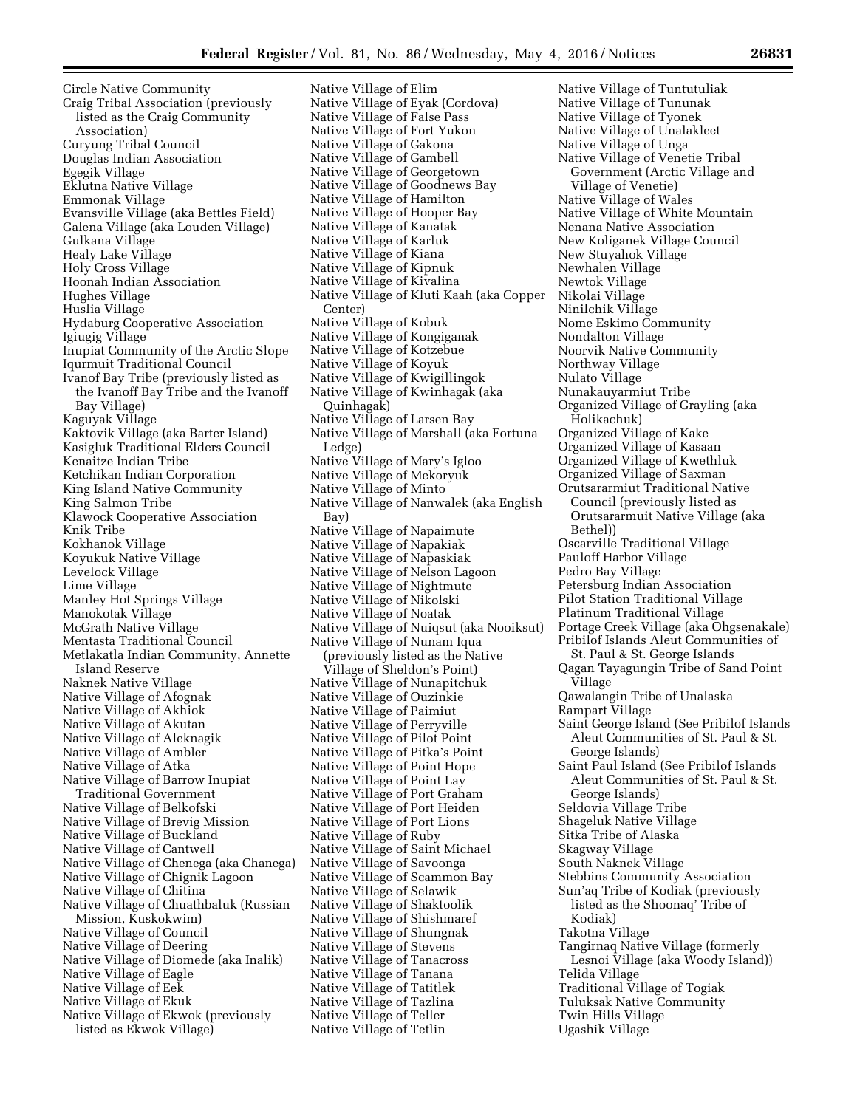Circle Native Community Craig Tribal Association (previously listed as the Craig Community Association) Curyung Tribal Council Douglas Indian Association Egegik Village Eklutna Native Village Emmonak Village Evansville Village (aka Bettles Field) Galena Village (aka Louden Village) Gulkana Village Healy Lake Village Holy Cross Village Hoonah Indian Association Hughes Village Huslia Village Hydaburg Cooperative Association Igiugig Village Inupiat Community of the Arctic Slope Iqurmuit Traditional Council Ivanof Bay Tribe (previously listed as the Ivanoff Bay Tribe and the Ivanoff Bay Village) Kaguyak Village Kaktovik Village (aka Barter Island) Kasigluk Traditional Elders Council Kenaitze Indian Tribe Ketchikan Indian Corporation King Island Native Community King Salmon Tribe Klawock Cooperative Association Knik Tribe Kokhanok Village Koyukuk Native Village Levelock Village Lime Village Manley Hot Springs Village Manokotak Village McGrath Native Village Mentasta Traditional Council Metlakatla Indian Community, Annette Island Reserve Naknek Native Village Native Village of Afognak Native Village of Akhiok Native Village of Akutan Native Village of Aleknagik Native Village of Ambler Native Village of Atka Native Village of Barrow Inupiat Traditional Government Native Village of Belkofski Native Village of Brevig Mission Native Village of Buckland Native Village of Cantwell Native Village of Chenega (aka Chanega) Native Village of Chignik Lagoon Native Village of Chitina Native Village of Chuathbaluk (Russian Mission, Kuskokwim) Native Village of Council Native Village of Deering Native Village of Diomede (aka Inalik) Native Village of Eagle Native Village of Eek Native Village of Ekuk Native Village of Ekwok (previously listed as Ekwok Village)

Native Village of Elim Native Village of Eyak (Cordova) Native Village of False Pass Native Village of Fort Yukon Native Village of Gakona Native Village of Gambell Native Village of Georgetown Native Village of Goodnews Bay Native Village of Hamilton Native Village of Hooper Bay Native Village of Kanatak Native Village of Karluk Native Village of Kiana Native Village of Kipnuk Native Village of Kivalina Native Village of Kluti Kaah (aka Copper Center) Native Village of Kobuk Native Village of Kongiganak Native Village of Kotzebue Native Village of Koyuk Native Village of Kwigillingok Native Village of Kwinhagak (aka Quinhagak) Native Village of Larsen Bay Native Village of Marshall (aka Fortuna Ledge) Native Village of Mary's Igloo Native Village of Mekoryuk Native Village of Minto Native Village of Nanwalek (aka English Bay) Native Village of Napaimute Native Village of Napakiak Native Village of Napaskiak Native Village of Nelson Lagoon Native Village of Nightmute Native Village of Nikolski Native Village of Noatak Native Village of Nuiqsut (aka Nooiksut) Native Village of Nunam Iqua (previously listed as the Native Village of Sheldon's Point) Native Village of Nunapitchuk Native Village of Ouzinkie Native Village of Paimiut Native Village of Perryville Native Village of Pilot Point Native Village of Pitka's Point Native Village of Point Hope Native Village of Point Lay Native Village of Port Graham Native Village of Port Heiden Native Village of Port Lions Native Village of Ruby Native Village of Saint Michael Native Village of Savoonga Native Village of Scammon Bay Native Village of Selawik Native Village of Shaktoolik Native Village of Shishmaref Native Village of Shungnak Native Village of Stevens Native Village of Tanacross Native Village of Tanana Native Village of Tatitlek Native Village of Tazlina Native Village of Teller Native Village of Tetlin

Native Village of Tuntutuliak Native Village of Tununak Native Village of Tyonek Native Village of Unalakleet Native Village of Unga Native Village of Venetie Tribal Government (Arctic Village and Village of Venetie) Native Village of Wales Native Village of White Mountain Nenana Native Association New Koliganek Village Council New Stuyahok Village Newhalen Village Newtok Village Nikolai Village Ninilchik Village Nome Eskimo Community Nondalton Village Noorvik Native Community Northway Village Nulato Village Nunakauyarmiut Tribe Organized Village of Grayling (aka Holikachuk) Organized Village of Kake Organized Village of Kasaan Organized Village of Kwethluk Organized Village of Saxman Orutsararmiut Traditional Native Council (previously listed as Orutsararmuit Native Village (aka Bethel)) Oscarville Traditional Village Pauloff Harbor Village Pedro Bay Village Petersburg Indian Association Pilot Station Traditional Village Platinum Traditional Village Portage Creek Village (aka Ohgsenakale) Pribilof Islands Aleut Communities of St. Paul & St. George Islands Qagan Tayagungin Tribe of Sand Point Village Qawalangin Tribe of Unalaska Rampart Village Saint George Island (See Pribilof Islands Aleut Communities of St. Paul & St. George Islands) Saint Paul Island (See Pribilof Islands Aleut Communities of St. Paul & St. George Islands) Seldovia Village Tribe Shageluk Native Village Sitka Tribe of Alaska Skagway Village South Naknek Village Stebbins Community Association Sun'aq Tribe of Kodiak (previously listed as the Shoonaq' Tribe of Kodiak) Takotna Village Tangirnaq Native Village (formerly Lesnoi Village (aka Woody Island)) Telida Village Traditional Village of Togiak Tuluksak Native Community Twin Hills Village Ugashik Village